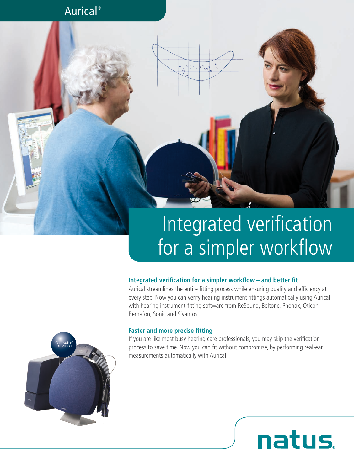### Aurical®

# Integrated verification for a simpler workflow

### **Integrated verification for a simpler workflow – and better fit**

 $\begin{array}{c|c|c}\n m d b i a \\
m d \n\end{array}$ 

Aurical streamlines the entire fitting process while ensuring quality and efficiency at every step. Now you can verify hearing instrument fittings automatically using Aurical with hearing instrument-fitting software from ReSound, Beltone, Phonak, Oticon, Bernafon, Sonic and Sivantos.

### **Faster and more precise fitting**

If you are like most busy hearing care professionals, you may skip the verification process to save time. Now you can fit without compromise, by performing real-ear measurements automatically with Aurical.

natus.